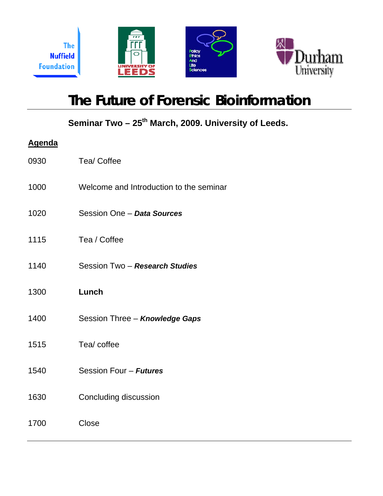

# **The Future of Forensic Bioinformation**

Seminar Two - 25<sup>th</sup> March, 2009. University of Leeds.

| <u>Agenda</u> |                                         |
|---------------|-----------------------------------------|
| 0930          | Tea/ Coffee                             |
| 1000          | Welcome and Introduction to the seminar |
| 1020          | Session One - Data Sources              |
| 1115          | Tea / Coffee                            |
| 1140          | Session Two - Research Studies          |
| 1300          | Lunch                                   |
| 1400          | Session Three - Knowledge Gaps          |
| 1515          | Tea/ coffee                             |
| 1540          | Session Four - Futures                  |
| 1630          | <b>Concluding discussion</b>            |
| 1700          | Close                                   |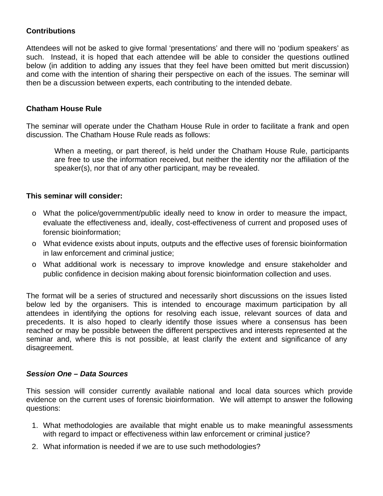# **Contributions**

Attendees will not be asked to give formal 'presentations' and there will no 'podium speakers' as such. Instead, it is hoped that each attendee will be able to consider the questions outlined below (in addition to adding any issues that they feel have been omitted but merit discussion) and come with the intention of sharing their perspective on each of the issues. The seminar will then be a discussion between experts, each contributing to the intended debate.

#### **Chatham House Rule**

The seminar will operate under the Chatham House Rule in order to facilitate a frank and open discussion. The Chatham House Rule reads as follows:

When a meeting, or part thereof, is held under the Chatham House Rule, participants are free to use the information received, but neither the identity nor the affiliation of the speaker(s), nor that of any other participant, may be revealed.

#### **This seminar will consider:**

- o What the police/government/public ideally need to know in order to measure the impact, evaluate the effectiveness and, ideally, cost-effectiveness of current and proposed uses of forensic bioinformation;
- o What evidence exists about inputs, outputs and the effective uses of forensic bioinformation in law enforcement and criminal justice;
- o What additional work is necessary to improve knowledge and ensure stakeholder and public confidence in decision making about forensic bioinformation collection and uses.

The format will be a series of structured and necessarily short discussions on the issues listed below led by the organisers. This is intended to encourage maximum participation by all attendees in identifying the options for resolving each issue, relevant sources of data and precedents. It is also hoped to clearly identify those issues where a consensus has been reached or may be possible between the different perspectives and interests represented at the seminar and, where this is not possible, at least clarify the extent and significance of any disagreement.

#### *Session One – Data Sources*

This session will consider currently available national and local data sources which provide evidence on the current uses of forensic bioinformation. We will attempt to answer the following questions:

- 1. What methodologies are available that might enable us to make meaningful assessments with regard to impact or effectiveness within law enforcement or criminal justice?
- 2. What information is needed if we are to use such methodologies?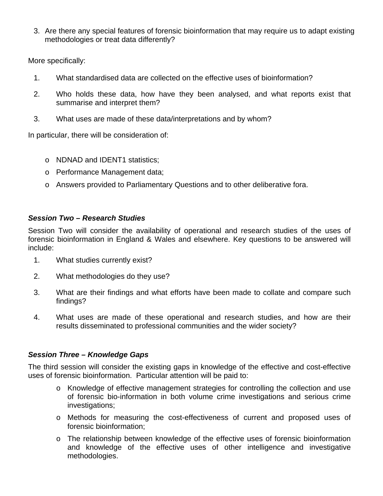3. Are there any special features of forensic bioinformation that may require us to adapt existing methodologies or treat data differently?

More specifically:

- 1. What standardised data are collected on the effective uses of bioinformation?
- 2. Who holds these data, how have they been analysed, and what reports exist that summarise and interpret them?
- 3. What uses are made of these data/interpretations and by whom?

In particular, there will be consideration of:

- o NDNAD and IDENT1 statistics;
- o Performance Management data;
- o Answers provided to Parliamentary Questions and to other deliberative fora.

## *Session Two – Research Studies*

Session Two will consider the availability of operational and research studies of the uses of forensic bioinformation in England & Wales and elsewhere. Key questions to be answered will include:

- 1. What studies currently exist?
- 2. What methodologies do they use?
- 3. What are their findings and what efforts have been made to collate and compare such findings?
- 4. What uses are made of these operational and research studies, and how are their results disseminated to professional communities and the wider society?

# *Session Three – Knowledge Gaps*

The third session will consider the existing gaps in knowledge of the effective and cost-effective uses of forensic bioinformation. Particular attention will be paid to:

- o Knowledge of effective management strategies for controlling the collection and use of forensic bio-information in both volume crime investigations and serious crime investigations;
- o Methods for measuring the cost-effectiveness of current and proposed uses of forensic bioinformation;
- o The relationship between knowledge of the effective uses of forensic bioinformation and knowledge of the effective uses of other intelligence and investigative methodologies.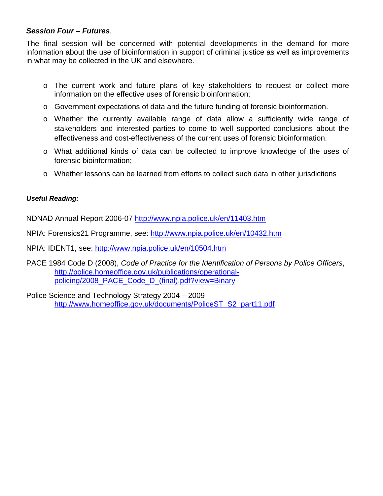# *Session Four – Futures*.

The final session will be concerned with potential developments in the demand for more information about the use of bioinformation in support of criminal justice as well as improvements in what may be collected in the UK and elsewhere.

- o The current work and future plans of key stakeholders to request or collect more information on the effective uses of forensic bioinformation;
- o Government expectations of data and the future funding of forensic bioinformation.
- o Whether the currently available range of data allow a sufficiently wide range of stakeholders and interested parties to come to well supported conclusions about the effectiveness and cost-effectiveness of the current uses of forensic bioinformation.
- o What additional kinds of data can be collected to improve knowledge of the uses of forensic bioinformation;
- o Whether lessons can be learned from efforts to collect such data in other jurisdictions

#### *Useful Reading:*

NDNAD Annual Report 2006-07<http://www.npia.police.uk/en/11403.htm>

NPIA: Forensics21 Programme, see: <http://www.npia.police.uk/en/10432.htm>

NPIA: IDENT1, see:<http://www.npia.police.uk/en/10504.htm>

PACE 1984 Code D (2008), *Code of Practice for the Identification of Persons by Police Officers*, [http://police.homeoffice.gov.uk/publications/operational](http://police.homeoffice.gov.uk/publications/operational-policing/2008_PACE_Code_D_(final).pdf?view=Binary)[policing/2008\\_PACE\\_Code\\_D\\_\(final\).pdf?view=Binary](http://police.homeoffice.gov.uk/publications/operational-policing/2008_PACE_Code_D_(final).pdf?view=Binary)

Police Science and Technology Strategy 2004 – 2009 [http://www.homeoffice.gov.uk/documents/PoliceST\\_S2\\_part11.pdf](http://www.homeoffice.gov.uk/documents/PoliceST_S2_part11.pdf)